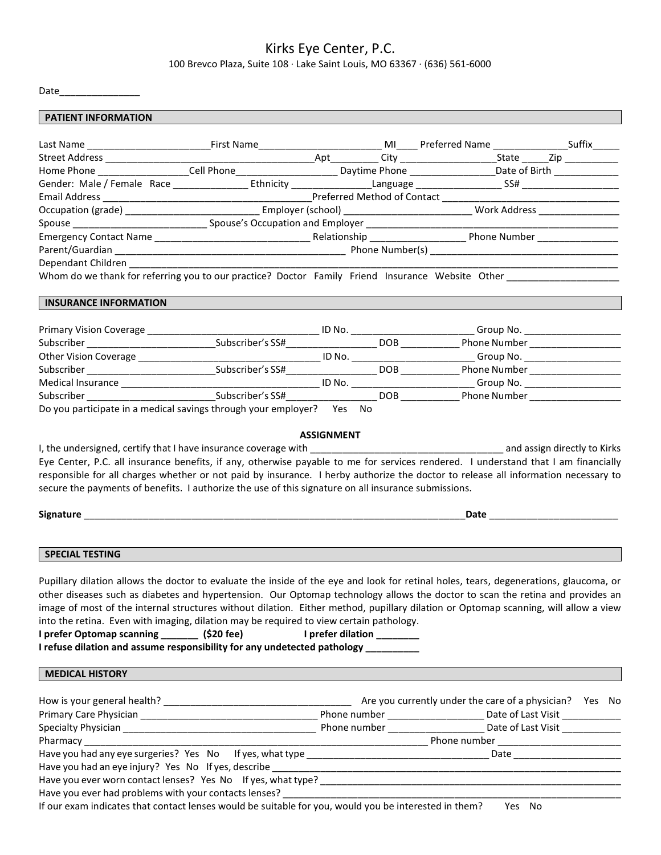## Kirks Eye Center, P.C.

100 Brevco Plaza, Suite 108 ∙ Lake Saint Louis, MO 63367 ∙ (636) 561-6000

Date\_\_\_\_\_\_\_\_\_\_\_\_\_\_\_

| <b>PATIENT INFORMATION</b>                                                                                                                                                                                                                                                                                                                                                                                                                                                                                                                                                                                                                     |                           |  |  |
|------------------------------------------------------------------------------------------------------------------------------------------------------------------------------------------------------------------------------------------------------------------------------------------------------------------------------------------------------------------------------------------------------------------------------------------------------------------------------------------------------------------------------------------------------------------------------------------------------------------------------------------------|---------------------------|--|--|
| Last Name _______________________________First Name______________________________ MI_____Preferred Name __________________Suffix______                                                                                                                                                                                                                                                                                                                                                                                                                                                                                                         |                           |  |  |
|                                                                                                                                                                                                                                                                                                                                                                                                                                                                                                                                                                                                                                                |                           |  |  |
| Home Phone ___________________Cell Phone__________________________Daytime Phone _________________Date of Birth __________________                                                                                                                                                                                                                                                                                                                                                                                                                                                                                                              |                           |  |  |
|                                                                                                                                                                                                                                                                                                                                                                                                                                                                                                                                                                                                                                                |                           |  |  |
|                                                                                                                                                                                                                                                                                                                                                                                                                                                                                                                                                                                                                                                |                           |  |  |
|                                                                                                                                                                                                                                                                                                                                                                                                                                                                                                                                                                                                                                                |                           |  |  |
|                                                                                                                                                                                                                                                                                                                                                                                                                                                                                                                                                                                                                                                |                           |  |  |
|                                                                                                                                                                                                                                                                                                                                                                                                                                                                                                                                                                                                                                                |                           |  |  |
|                                                                                                                                                                                                                                                                                                                                                                                                                                                                                                                                                                                                                                                |                           |  |  |
|                                                                                                                                                                                                                                                                                                                                                                                                                                                                                                                                                                                                                                                |                           |  |  |
| Whom do we thank for referring you to our practice? Doctor Family Friend Insurance Website Other ___________________                                                                                                                                                                                                                                                                                                                                                                                                                                                                                                                           |                           |  |  |
| <b>INSURANCE INFORMATION</b>                                                                                                                                                                                                                                                                                                                                                                                                                                                                                                                                                                                                                   |                           |  |  |
|                                                                                                                                                                                                                                                                                                                                                                                                                                                                                                                                                                                                                                                |                           |  |  |
|                                                                                                                                                                                                                                                                                                                                                                                                                                                                                                                                                                                                                                                |                           |  |  |
|                                                                                                                                                                                                                                                                                                                                                                                                                                                                                                                                                                                                                                                |                           |  |  |
|                                                                                                                                                                                                                                                                                                                                                                                                                                                                                                                                                                                                                                                |                           |  |  |
|                                                                                                                                                                                                                                                                                                                                                                                                                                                                                                                                                                                                                                                |                           |  |  |
|                                                                                                                                                                                                                                                                                                                                                                                                                                                                                                                                                                                                                                                |                           |  |  |
| Do you participate in a medical savings through your employer? Yes No                                                                                                                                                                                                                                                                                                                                                                                                                                                                                                                                                                          |                           |  |  |
| secure the payments of benefits. I authorize the use of this signature on all insurance submissions.                                                                                                                                                                                                                                                                                                                                                                                                                                                                                                                                           |                           |  |  |
| <b>SPECIAL TESTING</b>                                                                                                                                                                                                                                                                                                                                                                                                                                                                                                                                                                                                                         |                           |  |  |
| Pupillary dilation allows the doctor to evaluate the inside of the eye and look for retinal holes, tears, degenerations, glaucoma, or<br>other diseases such as diabetes and hypertension. Our Optomap technology allows the doctor to scan the retina and provides an<br>image of most of the internal structures without dilation. Either method, pupillary dilation or Optomap scanning, will allow a view<br>into the retina. Even with imaging, dilation may be required to view certain pathology.<br>I prefer Optomap scanning ________ (\$20 fee)<br>I refuse dilation and assume responsibility for any undetected pathology ________ | I prefer dilation _______ |  |  |
| <b>MEDICAL HISTORY</b>                                                                                                                                                                                                                                                                                                                                                                                                                                                                                                                                                                                                                         |                           |  |  |
|                                                                                                                                                                                                                                                                                                                                                                                                                                                                                                                                                                                                                                                |                           |  |  |
|                                                                                                                                                                                                                                                                                                                                                                                                                                                                                                                                                                                                                                                |                           |  |  |
|                                                                                                                                                                                                                                                                                                                                                                                                                                                                                                                                                                                                                                                |                           |  |  |
|                                                                                                                                                                                                                                                                                                                                                                                                                                                                                                                                                                                                                                                |                           |  |  |
|                                                                                                                                                                                                                                                                                                                                                                                                                                                                                                                                                                                                                                                |                           |  |  |
|                                                                                                                                                                                                                                                                                                                                                                                                                                                                                                                                                                                                                                                |                           |  |  |
|                                                                                                                                                                                                                                                                                                                                                                                                                                                                                                                                                                                                                                                |                           |  |  |
|                                                                                                                                                                                                                                                                                                                                                                                                                                                                                                                                                                                                                                                |                           |  |  |
| If our exam indicates that contact lenses would be suitable for you, would you be interested in them? Yes No                                                                                                                                                                                                                                                                                                                                                                                                                                                                                                                                   |                           |  |  |
|                                                                                                                                                                                                                                                                                                                                                                                                                                                                                                                                                                                                                                                |                           |  |  |